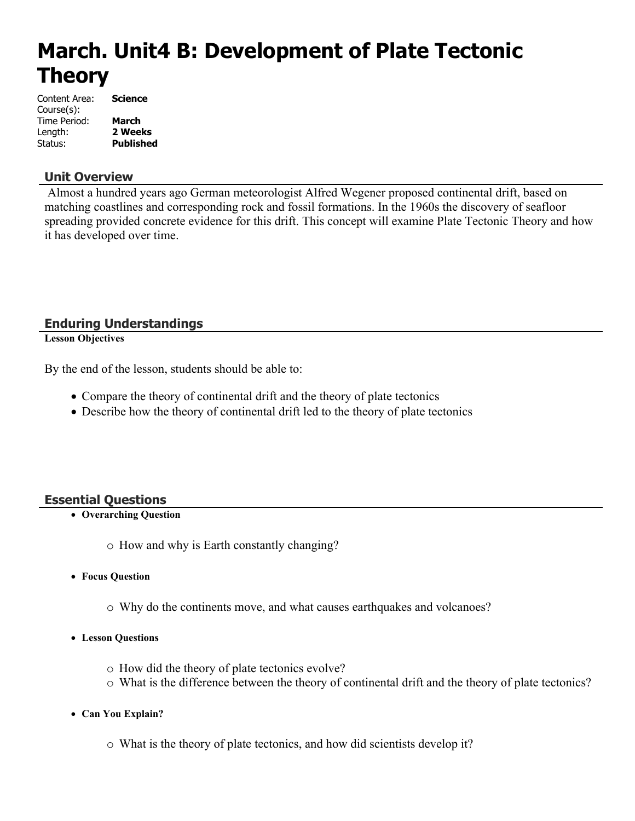# **March. Unit4 B: Development of Plate Tectonic Theory**

| Content Area: | Science          |
|---------------|------------------|
| Course(s):    |                  |
| Time Period:  | <b>March</b>     |
| Length:       | 2 Weeks          |
| Status:       | <b>Published</b> |

# **Unit Overview**

 Almost a hundred years ago German meteorologist Alfred Wegener proposed continental drift, based on matching coastlines and corresponding rock and fossil formations. In the 1960s the discovery of seafloor spreading provided concrete evidence for this drift. This concept will examine Plate Tectonic Theory and how it has developed over time.

# **Enduring Understandings**

**Lesson Objectives**

By the end of the lesson, students should be able to:

- Compare the theory of continental drift and the theory of plate tectonics
- Describe how the theory of continental drift led to the theory of plate tectonics

# **Essential Questions**

- **Overarching Question**
	- o How and why is Earth constantly changing?
- **Focus Question**
	- o Why do the continents move, and what causes earthquakes and volcanoes?
- **Lesson Questions**
	- o How did the theory of plate tectonics evolve?
	- o What is the difference between the theory of continental drift and the theory of plate tectonics?
- **Can You Explain?**
	- o What is the theory of plate tectonics, and how did scientists develop it?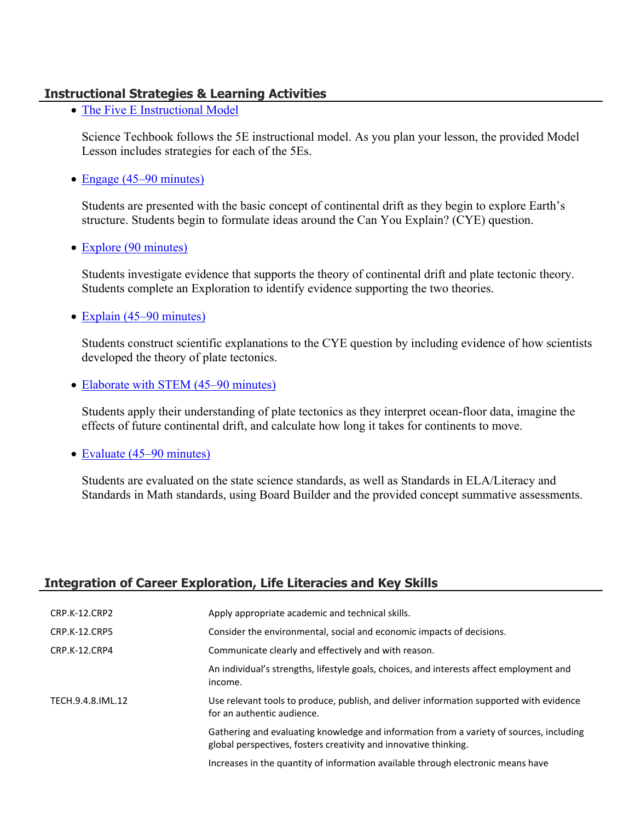# **Instructional Strategies & Learning Activities**

• [The Five E Instructional Model](https://app.discoveryeducation.com/learn/techbook/units/2ae9f1a7-63a1-4f5c-8db5-a4b1c4f8e9ea/concepts/a7be125a-e2b4-476d-b4ad-f0656c375c0d/lesson/sections/81d469b5-1271-4175-b9ae-44efcdb60d77#dd0eb5ba-3071-4917-9a55-54a6e14d9cae)

Science Techbook follows the 5E instructional model. As you plan your lesson, the provided Model Lesson includes strategies for each of the 5Es.

• [Engage \(45–90 minutes\)](https://app.discoveryeducation.com/learn/techbook/units/2ae9f1a7-63a1-4f5c-8db5-a4b1c4f8e9ea/concepts/a7be125a-e2b4-476d-b4ad-f0656c375c0d/lesson/sections/81d469b5-1271-4175-b9ae-44efcdb60d77#c42408d0-c4a4-43a1-b8ac-5963583fae77)

Students are presented with the basic concept of continental drift as they begin to explore Earth's structure. Students begin to formulate ideas around the Can You Explain? (CYE) question.

• [Explore \(90 minutes\)](https://app.discoveryeducation.com/learn/techbook/units/2ae9f1a7-63a1-4f5c-8db5-a4b1c4f8e9ea/concepts/a7be125a-e2b4-476d-b4ad-f0656c375c0d/lesson/sections/81d469b5-1271-4175-b9ae-44efcdb60d77#5f2de9b4-084d-431c-a8ac-34282f8a6444)

Students investigate evidence that supports the theory of continental drift and plate tectonic theory. Students complete an Exploration to identify evidence supporting the two theories.

• [Explain \(45–90 minutes\)](https://app.discoveryeducation.com/learn/techbook/units/2ae9f1a7-63a1-4f5c-8db5-a4b1c4f8e9ea/concepts/a7be125a-e2b4-476d-b4ad-f0656c375c0d/lesson/sections/81d469b5-1271-4175-b9ae-44efcdb60d77#b00f467e-91ae-49ca-a431-10dea0fab0e8)

Students construct scientific explanations to the CYE question by including evidence of how scientists developed the theory of plate tectonics.

• [Elaborate with STEM \(45–90 minutes\)](https://app.discoveryeducation.com/learn/techbook/units/2ae9f1a7-63a1-4f5c-8db5-a4b1c4f8e9ea/concepts/a7be125a-e2b4-476d-b4ad-f0656c375c0d/lesson/sections/81d469b5-1271-4175-b9ae-44efcdb60d77#85613ef8-57a0-40fc-82f7-4cbb605d9c96)

Students apply their understanding of plate tectonics as they interpret ocean-floor data, imagine the effects of future continental drift, and calculate how long it takes for continents to move.

• [Evaluate \(45–90 minutes\)](https://app.discoveryeducation.com/learn/techbook/units/2ae9f1a7-63a1-4f5c-8db5-a4b1c4f8e9ea/concepts/a7be125a-e2b4-476d-b4ad-f0656c375c0d/lesson/sections/81d469b5-1271-4175-b9ae-44efcdb60d77#1c9ade9d-079f-4250-aaf0-14b1aa3806e8)

Students are evaluated on the state science standards, as well as Standards in ELA/Literacy and Standards in Math standards, using Board Builder and the provided concept summative assessments.

# **Integration of Career Exploration, Life Literacies and Key Skills**

| CRP.K-12.CRP2        | Apply appropriate academic and technical skills.                                                                                                            |
|----------------------|-------------------------------------------------------------------------------------------------------------------------------------------------------------|
| <b>CRP.K-12.CRP5</b> | Consider the environmental, social and economic impacts of decisions.                                                                                       |
| CRP.K-12.CRP4        | Communicate clearly and effectively and with reason.                                                                                                        |
|                      | An individual's strengths, lifestyle goals, choices, and interests affect employment and<br>income.                                                         |
| TECH.9.4.8.IML.12    | Use relevant tools to produce, publish, and deliver information supported with evidence<br>for an authentic audience.                                       |
|                      | Gathering and evaluating knowledge and information from a variety of sources, including<br>global perspectives, fosters creativity and innovative thinking. |
|                      | Increases in the quantity of information available through electronic means have                                                                            |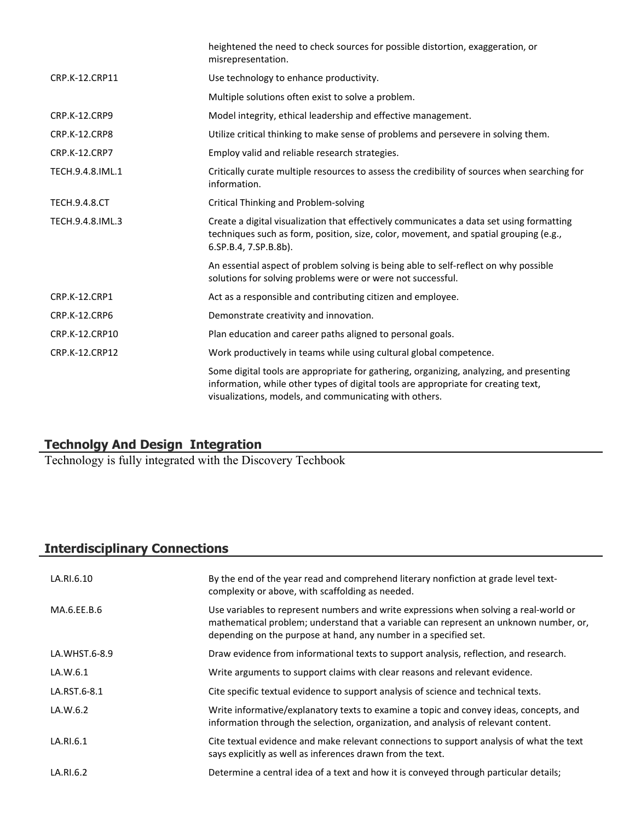|                      | heightened the need to check sources for possible distortion, exaggeration, or<br>misrepresentation.                                                                                                                                    |
|----------------------|-----------------------------------------------------------------------------------------------------------------------------------------------------------------------------------------------------------------------------------------|
| CRP.K-12.CRP11       | Use technology to enhance productivity.                                                                                                                                                                                                 |
|                      | Multiple solutions often exist to solve a problem.                                                                                                                                                                                      |
| <b>CRP.K-12.CRP9</b> | Model integrity, ethical leadership and effective management.                                                                                                                                                                           |
| CRP.K-12.CRP8        | Utilize critical thinking to make sense of problems and persevere in solving them.                                                                                                                                                      |
| CRP.K-12.CRP7        | Employ valid and reliable research strategies.                                                                                                                                                                                          |
| TECH.9.4.8.IML.1     | Critically curate multiple resources to assess the credibility of sources when searching for<br>information.                                                                                                                            |
| <b>TECH.9.4.8.CT</b> | Critical Thinking and Problem-solving                                                                                                                                                                                                   |
| TECH.9.4.8.IML.3     | Create a digital visualization that effectively communicates a data set using formatting<br>techniques such as form, position, size, color, movement, and spatial grouping (e.g.,<br>6.SP.B.4, 7.SP.B.8b).                              |
|                      | An essential aspect of problem solving is being able to self-reflect on why possible<br>solutions for solving problems were or were not successful.                                                                                     |
| <b>CRP.K-12.CRP1</b> | Act as a responsible and contributing citizen and employee.                                                                                                                                                                             |
| <b>CRP.K-12.CRP6</b> | Demonstrate creativity and innovation.                                                                                                                                                                                                  |
| CRP.K-12.CRP10       | Plan education and career paths aligned to personal goals.                                                                                                                                                                              |
| CRP.K-12.CRP12       | Work productively in teams while using cultural global competence.                                                                                                                                                                      |
|                      | Some digital tools are appropriate for gathering, organizing, analyzing, and presenting<br>information, while other types of digital tools are appropriate for creating text,<br>visualizations, models, and communicating with others. |
|                      |                                                                                                                                                                                                                                         |

# **Technolgy And Design Integration**

Technology is fully integrated with the Discovery Techbook

# **Interdisciplinary Connections**

| LA.RI.6.10    | By the end of the year read and comprehend literary nonfiction at grade level text-<br>complexity or above, with scaffolding as needed.                                                                                                            |
|---------------|----------------------------------------------------------------------------------------------------------------------------------------------------------------------------------------------------------------------------------------------------|
| MA.6.EE.B.6   | Use variables to represent numbers and write expressions when solving a real-world or<br>mathematical problem; understand that a variable can represent an unknown number, or,<br>depending on the purpose at hand, any number in a specified set. |
| LA.WHST.6-8.9 | Draw evidence from informational texts to support analysis, reflection, and research.                                                                                                                                                              |
| LA.W.6.1      | Write arguments to support claims with clear reasons and relevant evidence.                                                                                                                                                                        |
| LA.RST.6-8.1  | Cite specific textual evidence to support analysis of science and technical texts.                                                                                                                                                                 |
| LA.W.6.2      | Write informative/explanatory texts to examine a topic and convey ideas, concepts, and<br>information through the selection, organization, and analysis of relevant content.                                                                       |
| LA.RI.6.1     | Cite textual evidence and make relevant connections to support analysis of what the text<br>says explicitly as well as inferences drawn from the text.                                                                                             |
| LA.RI.6.2     | Determine a central idea of a text and how it is conveyed through particular details;                                                                                                                                                              |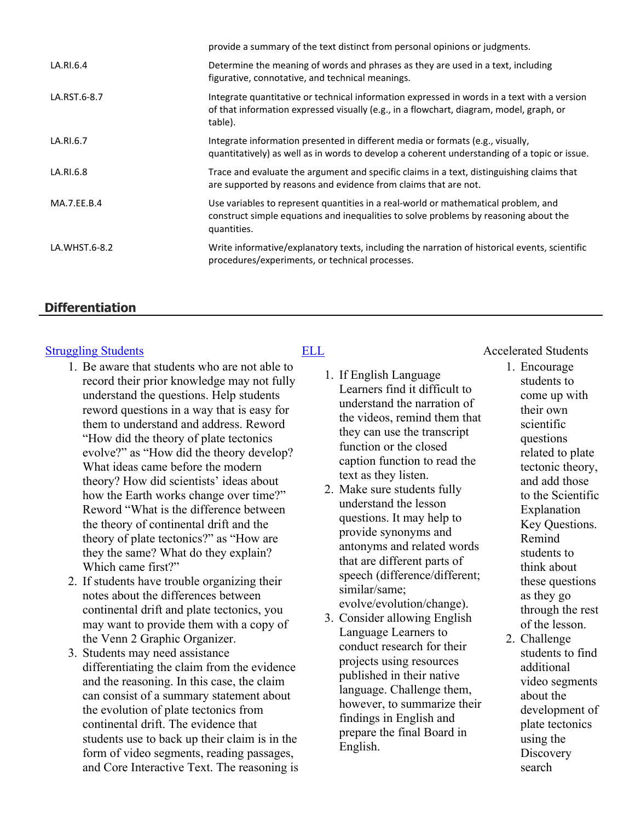|               | provide a summary of the text distinct from personal opinions or judgments.                                                                                                                       |
|---------------|---------------------------------------------------------------------------------------------------------------------------------------------------------------------------------------------------|
| LA.RI.6.4     | Determine the meaning of words and phrases as they are used in a text, including<br>figurative, connotative, and technical meanings.                                                              |
| LA.RST.6-8.7  | Integrate quantitative or technical information expressed in words in a text with a version<br>of that information expressed visually (e.g., in a flowchart, diagram, model, graph, or<br>table). |
| LA.RI.6.7     | Integrate information presented in different media or formats (e.g., visually,<br>quantitatively) as well as in words to develop a coherent understanding of a topic or issue.                    |
| LA.RI.6.8     | Trace and evaluate the argument and specific claims in a text, distinguishing claims that<br>are supported by reasons and evidence from claims that are not.                                      |
| MA.7.EE.B.4   | Use variables to represent quantities in a real-world or mathematical problem, and<br>construct simple equations and inequalities to solve problems by reasoning about the<br>quantities.         |
| LA.WHST.6-8.2 | Write informative/explanatory texts, including the narration of historical events, scientific<br>procedures/experiments, or technical processes.                                                  |

# **Differentiation**

- 1. Be aware that students who are not able to record their prior knowledge may not fully understand the questions. Help students reword questions in a way that is easy for them to understand and address. Reword "How did the theory of plate tectonics evolve?" as "How did the theory develop? What ideas came before the modern theory? How did scientists' ideas about how the Earth works change over time?" Reword "What is the difference between the theory of continental drift and the theory of plate tectonics?" as "How are they the same? What do they explain? Which came first?"
- 2. If students have trouble organizing their notes about the differences between continental drift and plate tectonics, you may want to provide them with a copy of the Venn 2 Graphic Organizer.
- 3. Students may need assistance differentiating the claim from the evidence and the reasoning. In this case, the claim can consist of a summary statement about the evolution of plate tectonics from continental drift. The evidence that students use to back up their claim is in the form of video segments, reading passages, and Core Interactive Text. The reasoning is

- 1. If English Language Learners find it difficult to understand the narration of the videos, remind them that they can use the transcript function or the closed caption function to read the text as they listen.
- 2. Make sure students fully understand the lesson questions. It may help to provide synonyms and antonyms and related words that are different parts of speech (difference/different; similar/same; evolve/evolution/change).
- 3. Consider allowing English Language Learners to conduct research for their projects using resources published in their native language. Challenge them, however, to summarize their findings in English and prepare the final Board in English.

# [Struggling Students](https://app.discoveryeducation.com/player/view/assetGuid/4995767F-D634-40C6-B25B-BDEA06E14F90) **[ELL](https://app.discoveryeducation.com/player/view/assetGuid/D727DF69-B79B-4A92-AA1F-CE23C74D98D9) ELL** Accelerated Students

- 1. Encourage students to come up with their own scientific questions related to plate tectonic theory, and add those to the Scientific Explanation Key Questions. Remind students to think about these questions as they go through the rest of the lesson.
- 2. Challenge students to find additional video segments about the development of plate tectonics using the **Discovery** search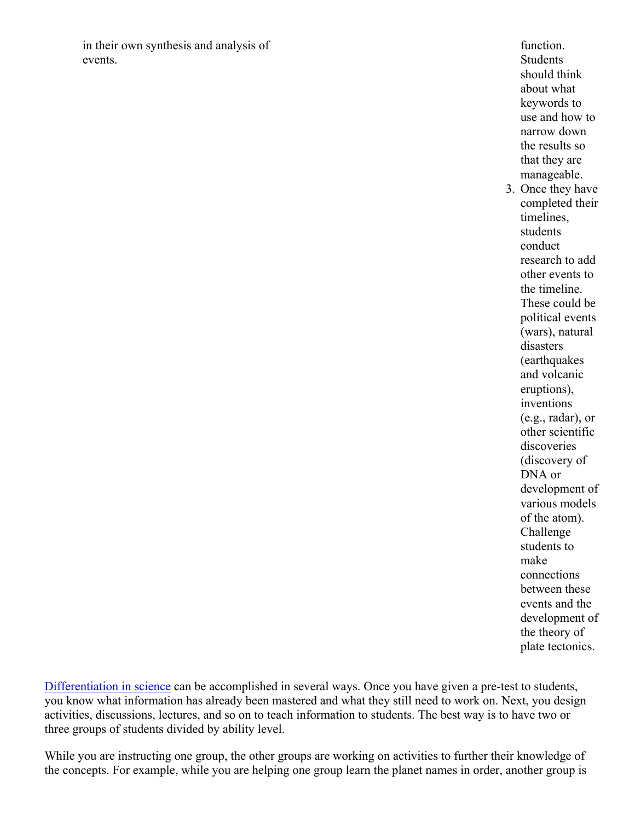in their own synthesis and analysis of events.

function. **Students** should think about what keywords to use and how to narrow down the results so that they are manageable. 3. Once they have completed their timelines, students conduct research to add other events to the timeline. These could be political events (wars), natural

disasters (earthquakes and volcanic eruptions), inventions (e.g., radar), or other scientific discoveries (discovery of DNA or development of various models of the atom). Challenge students to make connections between these events and the development of the theory of plate tectonics.

[Differentiation in science](http://www.brighthubeducation.com/teaching-gifted-students/65181-differentiation-techniques-and-activities-in-the-classroom-for-gifted-students/) can be accomplished in several ways. Once you have given a pre-test to students, you know what information has already been mastered and what they still need to work on. Next, you design activities, discussions, lectures, and so on to teach information to students. The best way is to have two or three groups of students divided by ability level.

While you are instructing one group, the other groups are working on activities to further their knowledge of the concepts. For example, while you are helping one group learn the planet names in order, another group is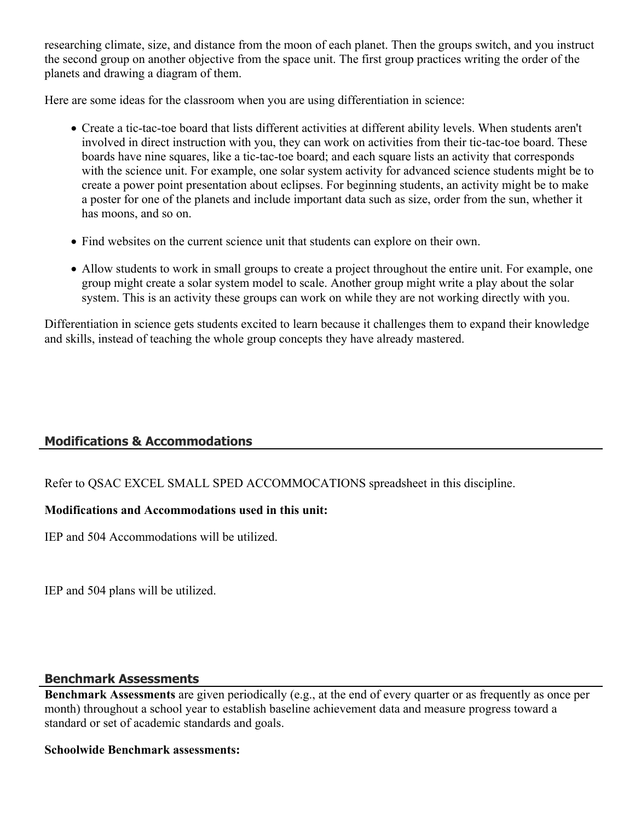researching climate, size, and distance from the moon of each planet. Then the groups switch, and you instruct the second group on another objective from the space unit. The first group practices writing the order of the planets and drawing a diagram of them.

Here are some ideas for the classroom when you are using differentiation in science:

- Create a tic-tac-toe board that lists different activities at different ability levels. When students aren't involved in direct instruction with you, they can work on activities from their tic-tac-toe board. These boards have nine squares, like a tic-tac-toe board; and each square lists an activity that corresponds with the science unit. For example, one solar system activity for advanced science students might be to create a power point presentation about eclipses. For beginning students, an activity might be to make a poster for one of the planets and include important data such as size, order from the sun, whether it has moons, and so on.
- Find websites on the current science unit that students can explore on their own.
- Allow students to work in small groups to create a project throughout the entire unit. For example, one group might create a solar system model to scale. Another group might write a play about the solar system. This is an activity these groups can work on while they are not working directly with you.

Differentiation in science gets students excited to learn because it challenges them to expand their knowledge and skills, instead of teaching the whole group concepts they have already mastered.

# **Modifications & Accommodations**

Refer to QSAC EXCEL SMALL SPED ACCOMMOCATIONS spreadsheet in this discipline.

# **Modifications and Accommodations used in this unit:**

IEP and 504 Accommodations will be utilized.

IEP and 504 plans will be utilized.

# **Benchmark Assessments**

**Benchmark Assessments** are given periodically (e.g., at the end of every quarter or as frequently as once per month) throughout a school year to establish baseline achievement data and measure progress toward a standard or set of academic standards and goals.

# **Schoolwide Benchmark assessments:**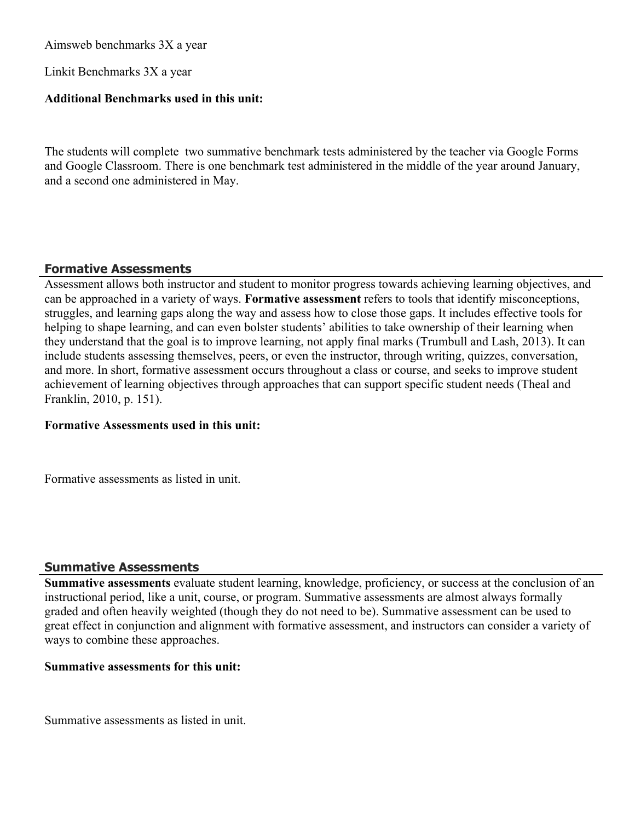Aimsweb benchmarks 3X a year

Linkit Benchmarks 3X a year

# **Additional Benchmarks used in this unit:**

The students will complete two summative benchmark tests administered by the teacher via Google Forms and Google Classroom. There is one benchmark test administered in the middle of the year around January, and a second one administered in May.

# **Formative Assessments**

Assessment allows both instructor and student to monitor progress towards achieving learning objectives, and can be approached in a variety of ways. **Formative assessment** refers to tools that identify misconceptions, struggles, and learning gaps along the way and assess how to close those gaps. It includes effective tools for helping to shape learning, and can even bolster students' abilities to take ownership of their learning when they understand that the goal is to improve learning, not apply final marks (Trumbull and Lash, 2013). It can include students assessing themselves, peers, or even the instructor, through writing, quizzes, conversation, and more. In short, formative assessment occurs throughout a class or course, and seeks to improve student achievement of learning objectives through approaches that can support specific student needs (Theal and Franklin, 2010, p. 151).

## **Formative Assessments used in this unit:**

Formative assessments as listed in unit.

# **Summative Assessments**

**Summative assessments** evaluate student learning, knowledge, proficiency, or success at the conclusion of an instructional period, like a unit, course, or program. Summative assessments are almost always formally graded and often heavily weighted (though they do not need to be). Summative assessment can be used to great effect in conjunction and alignment with formative assessment, and instructors can consider a variety of ways to combine these approaches.

## **Summative assessments for this unit:**

Summative assessments as listed in unit.